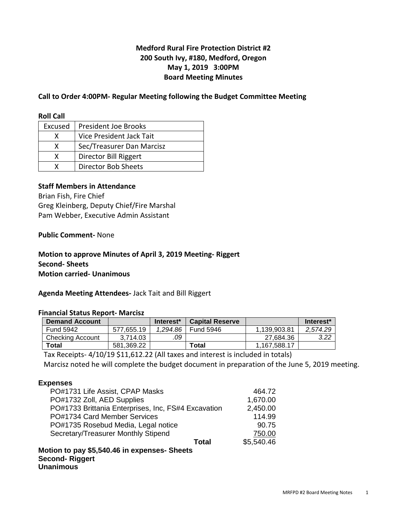# **Medford Rural Fire Protection District #2 200 South Ivy, #180, Medford, Oregon May 1, 2019 3:00PM Board Meeting Minutes**

## **Call to Order 4:00PM- Regular Meeting following the Budget Committee Meeting**

#### **Roll Call**

| Excused | President Joe Brooks       |
|---------|----------------------------|
|         | Vice President Jack Tait   |
| x       | Sec/Treasurer Dan Marcisz  |
| x       | Director Bill Riggert      |
|         | <b>Director Bob Sheets</b> |

## **Staff Members in Attendance**

Brian Fish, Fire Chief Greg Kleinberg, Deputy Chief/Fire Marshal Pam Webber, Executive Admin Assistant

### **Public Comment-** None

# **Motion to approve Minutes of April 3, 2019 Meeting- Riggert Second- Sheets Motion carried- Unanimous**

#### **Agenda Meeting Attendees-** Jack Tait and Bill Riggert

#### **Financial Status Report- Marcisz**

| <b>Demand Account</b>   |            | Interest <sup>*</sup> | <b>Capital Reserve</b> |              | Interest <sup>*</sup> |
|-------------------------|------------|-----------------------|------------------------|--------------|-----------------------|
| <b>Fund 5942</b>        | 577.655.19 | 1.294.86              | <b>Fund 5946</b>       | 1.139.903.81 | 2.574.29              |
| <b>Checking Account</b> | 3.714.03   | .09                   |                        | 27.684.36    | 3.22                  |
| <b>Total</b>            | 581.369.22 |                       | Total                  | 1.167.588.17 |                       |

Tax Receipts- 4/10/19 \$11,612.22 (All taxes and interest is included in totals)

Marcisz noted he will complete the budget document in preparation of the June 5, 2019 meeting.

#### **Expenses**

| PO#1731 Life Assist, CPAP Masks                     | 464.72     |
|-----------------------------------------------------|------------|
| PO#1732 Zoll, AED Supplies                          | 1,670.00   |
| PO#1733 Brittania Enterprises, Inc, FS#4 Excavation | 2,450.00   |
| PO#1734 Card Member Services                        | 114.99     |
| PO#1735 Rosebud Media, Legal notice                 | 90.75      |
| Secretary/Treasurer Monthly Stipend                 | 750.00     |
| Total                                               | \$5,540.46 |
| Motion to pay \$5,540.46 in expenses- Sheets        |            |
| <b>Second-Riggert</b>                               |            |
| <b>Unanimous</b>                                    |            |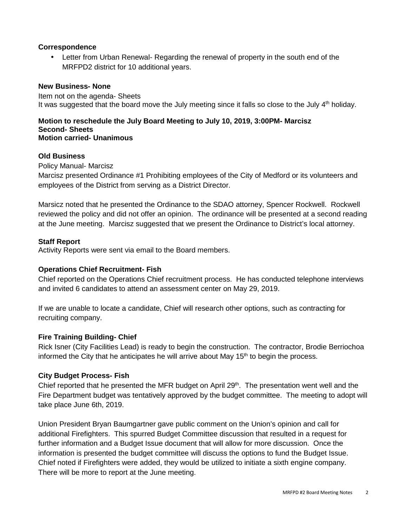### **Correspondence**

• Letter from Urban Renewal- Regarding the renewal of property in the south end of the MRFPD2 district for 10 additional years.

### **New Business- None**

Item not on the agenda- Sheets It was suggested that the board move the July meeting since it falls so close to the July  $4<sup>th</sup>$  holiday.

#### **Motion to reschedule the July Board Meeting to July 10, 2019, 3:00PM- Marcisz Second- Sheets Motion carried- Unanimous**

#### **Old Business**

Policy Manual- Marcisz

Marcisz presented Ordinance #1 Prohibiting employees of the City of Medford or its volunteers and employees of the District from serving as a District Director.

Marsicz noted that he presented the Ordinance to the SDAO attorney, Spencer Rockwell. Rockwell reviewed the policy and did not offer an opinion. The ordinance will be presented at a second reading at the June meeting. Marcisz suggested that we present the Ordinance to District's local attorney.

### **Staff Report**

Activity Reports were sent via email to the Board members.

### **Operations Chief Recruitment- Fish**

Chief reported on the Operations Chief recruitment process. He has conducted telephone interviews and invited 6 candidates to attend an assessment center on May 29, 2019.

If we are unable to locate a candidate, Chief will research other options, such as contracting for recruiting company.

#### **Fire Training Building- Chief**

Rick Isner (City Facilities Lead) is ready to begin the construction. The contractor, Brodie Berriochoa informed the City that he anticipates he will arrive about May  $15<sup>th</sup>$  to begin the process.

#### **City Budget Process- Fish**

Chief reported that he presented the MFR budget on April 29<sup>th</sup>. The presentation went well and the Fire Department budget was tentatively approved by the budget committee. The meeting to adopt will take place June 6th, 2019.

Union President Bryan Baumgartner gave public comment on the Union's opinion and call for additional Firefighters. This spurred Budget Committee discussion that resulted in a request for further information and a Budget Issue document that will allow for more discussion. Once the information is presented the budget committee will discuss the options to fund the Budget Issue. Chief noted if Firefighters were added, they would be utilized to initiate a sixth engine company. There will be more to report at the June meeting.